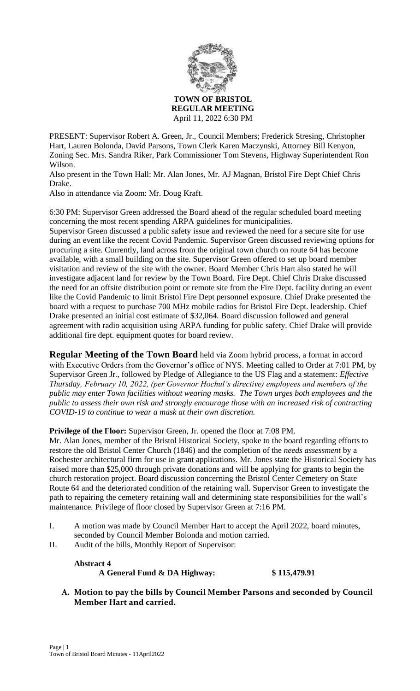

PRESENT: Supervisor Robert A. Green, Jr., Council Members; Frederick Stresing, Christopher Hart, Lauren Bolonda, David Parsons, Town Clerk Karen Maczynski, Attorney Bill Kenyon, Zoning Sec. Mrs. Sandra Riker, Park Commissioner Tom Stevens, Highway Superintendent Ron Wilson.

Also present in the Town Hall: Mr. Alan Jones, Mr. AJ Magnan, Bristol Fire Dept Chief Chris Drake.

Also in attendance via Zoom: Mr. Doug Kraft.

6:30 PM: Supervisor Green addressed the Board ahead of the regular scheduled board meeting concerning the most recent spending ARPA guidelines for municipalities.

Supervisor Green discussed a public safety issue and reviewed the need for a secure site for use during an event like the recent Covid Pandemic. Supervisor Green discussed reviewing options for procuring a site. Currently, land across from the original town church on route 64 has become available, with a small building on the site. Supervisor Green offered to set up board member visitation and review of the site with the owner. Board Member Chris Hart also stated he will investigate adjacent land for review by the Town Board. Fire Dept. Chief Chris Drake discussed the need for an offsite distribution point or remote site from the Fire Dept. facility during an event like the Covid Pandemic to limit Bristol Fire Dept personnel exposure. Chief Drake presented the board with a request to purchase 700 MHz mobile radios for Bristol Fire Dept. leadership. Chief Drake presented an initial cost estimate of \$32,064. Board discussion followed and general agreement with radio acquisition using ARPA funding for public safety. Chief Drake will provide additional fire dept. equipment quotes for board review.

**Regular Meeting of the Town Board** held via Zoom hybrid process, a format in accord with Executive Orders from the Governor's office of NYS. Meeting called to Order at 7:01 PM, by Supervisor Green Jr., followed by Pledge of Allegiance to the US Flag and a statement: *Effective Thursday, February 10, 2022, (per Governor Hochul's directive) employees and members of the public may enter Town facilities without wearing masks. The Town urges both employees and the public to assess their own risk and strongly encourage those with an increased risk of contracting COVID-19 to continue to wear a mask at their own discretion.*

**Privilege of the Floor:** Supervisor Green, Jr. opened the floor at 7:08 PM.

Mr. Alan Jones, member of the Bristol Historical Society, spoke to the board regarding efforts to restore the old Bristol Center Church (1846) and the completion of the *needs assessment* by a Rochester architectural firm for use in grant applications. Mr. Jones state the Historical Society has raised more than \$25,000 through private donations and will be applying for grants to begin the church restoration project. Board discussion concerning the Bristol Center Cemetery on State Route 64 and the deteriorated condition of the retaining wall. Supervisor Green to investigate the path to repairing the cemetery retaining wall and determining state responsibilities for the wall's maintenance. Privilege of floor closed by Supervisor Green at 7:16 PM.

- I. A motion was made by Council Member Hart to accept the April 2022, board minutes, seconded by Council Member Bolonda and motion carried.
- II. Audit of the bills, Monthly Report of Supervisor:

## **Abstract 4 A General Fund & DA Highway: \$ 115,479.91**

**A. Motion to pay the bills by Council Member Parsons and seconded by Council Member Hart and carried.**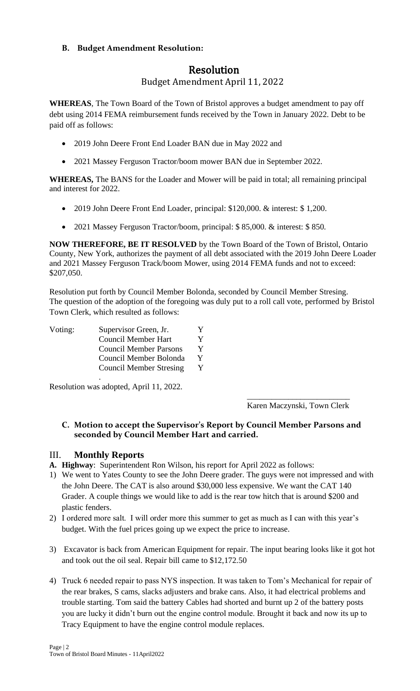## **B. Budget Amendment Resolution:**

# Resolution

## Budget Amendment April 11, 2022

**WHEREAS**, The Town Board of the Town of Bristol approves a budget amendment to pay off debt using 2014 FEMA reimbursement funds received by the Town in January 2022. Debt to be paid off as follows:

- 2019 John Deere Front End Loader BAN due in May 2022 and
- 2021 Massey Ferguson Tractor/boom mower BAN due in September 2022.

**WHEREAS,** The BANS for the Loader and Mower will be paid in total; all remaining principal and interest for 2022.

- 2019 John Deere Front End Loader, principal: \$120,000. & interest: \$ 1,200.
- 2021 Massey Ferguson Tractor/boom, principal: \$ 85,000. & interest: \$ 850.

**NOW THEREFORE, BE IT RESOLVED** by the Town Board of the Town of Bristol, Ontario County, New York, authorizes the payment of all debt associated with the 2019 John Deere Loader and 2021 Massey Ferguson Track/boom Mower, using 2014 FEMA funds and not to exceed: \$207,050.

Resolution put forth by Council Member Bolonda, seconded by Council Member Stresing. The question of the adoption of the foregoing was duly put to a roll call vote, performed by Bristol Town Clerk, which resulted as follows:

| Voting: | Supervisor Green, Jr.          | Y  |
|---------|--------------------------------|----|
|         | <b>Council Member Hart</b>     | Y  |
|         | <b>Council Member Parsons</b>  | Y  |
|         | Council Member Bolonda         | Y. |
|         | <b>Council Member Stresing</b> |    |

. Resolution was adopted, April 11, 2022.

> \_\_\_\_\_\_\_\_\_\_\_\_\_\_\_\_\_\_\_\_\_\_\_\_\_ Karen Maczynski, Town Clerk

## **C. Motion to accept the Supervisor's Report by Council Member Parsons and seconded by Council Member Hart and carried.**

## III. **Monthly Reports**

**A. Highway**: Superintendent Ron Wilson, his report for April 2022 as follows:

- 1) We went to Yates County to see the John Deere grader. The guys were not impressed and with the John Deere. The CAT is also around \$30,000 less expensive. We want the CAT 140 Grader. A couple things we would like to add is the rear tow hitch that is around \$200 and plastic fenders.
- 2) I ordered more salt. I will order more this summer to get as much as I can with this year's budget. With the fuel prices going up we expect the price to increase.
- 3) Excavator is back from American Equipment for repair. The input bearing looks like it got hot and took out the oil seal. Repair bill came to \$12,172.50
- 4) Truck 6 needed repair to pass NYS inspection. It was taken to Tom's Mechanical for repair of the rear brakes, S cams, slacks adjusters and brake cans. Also, it had electrical problems and trouble starting. Tom said the battery Cables had shorted and burnt up 2 of the battery posts you are lucky it didn't burn out the engine control module. Brought it back and now its up to Tracy Equipment to have the engine control module replaces.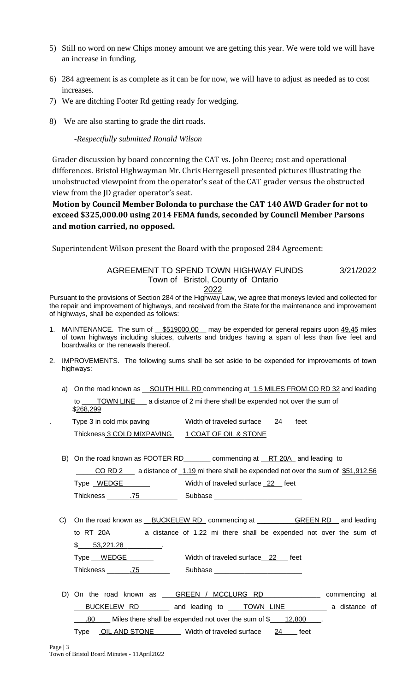- 5) Still no word on new Chips money amount we are getting this year. We were told we will have an increase in funding.
- 6) 284 agreement is as complete as it can be for now, we will have to adjust as needed as to cost increases.
- 7) We are ditching Footer Rd getting ready for wedging.
- 8) We are also starting to grade the dirt roads.

### -*Respectfully submitted Ronald Wilson*

Grader discussion by board concerning the CAT vs. John Deere; cost and operational differences. Bristol Highwayman Mr. Chris Herrgesell presented pictures illustrating the unobstructed viewpoint from the operator's seat of the CAT grader versus the obstructed view from the JD grader operator's seat.

**Motion by Council Member Bolonda to purchase the CAT 140 AWD Grader for not to exceed \$325,000.00 using 2014 FEMA funds, seconded by Council Member Parsons and motion carried, no opposed.**

Superintendent Wilson present the Board with the proposed 284 Agreement:

## AGREEMENT TO SPEND TOWN HIGHWAY FUNDS 3/21/2022 Town of Bristol, County of Ontario

2022

Pursuant to the provisions of Section 284 of the Highway Law, we agree that moneys levied and collected for the repair and improvement of highways, and received from the State for the maintenance and improvement of highways, shall be expended as follows:

- 1. MAINTENANCE. The sum of \$519000.00 may be expended for general repairs upon 49.45 miles of town highways including sluices, culverts and bridges having a span of less than five feet and boardwalks or the renewals thereof.
- 2. IMPROVEMENTS. The following sums shall be set aside to be expended for improvements of town highways:
	- a) On the road known as SOUTH HILL RD commencing at 1.5 MILES FROM CO RD 32 and leading to \_\_\_\_\_TOWN LINE \_\_\_\_ a distance of 2 mi there shall be expended not over the sum of \$268,299

Type 3 in cold mix paving Width of traveled surface 24 feet Thickness 3 COLD MIXPAVING 1 COAT OF OIL & STONE

B) On the road known as FOOTER RD\_\_\_\_\_\_\_\_ commencing at \_\_RT 20A\_and leading to CO RD 2 a distance of 1.19 mi there shall be expended not over the sum of \$51,912.56

| Type WEDGE       | Width of traveled surface 22 feet |
|------------------|-----------------------------------|
| <b>Thickness</b> | Subbase                           |

- C) On the road known as BUCKELEW RD commencing at GREEN RD and leading to RT 20A\_\_\_\_\_\_\_\_ a distance of 1.22 mi there shall be expended not over the sum of  $$153,221.28$ Type WEDGE WERD Width of traveled surface 22 feet Thickness \_\_\_\_\_\_\_.75 \_\_\_\_\_\_\_\_\_\_ Subbase \_\_
- D) On the road known as \_\_\_ GREEN / MCCLURG RD \_\_\_ \_\_\_\_\_\_\_\_ commencing at BUCKELEW RD \_\_\_\_\_\_\_ and leading to \_\_\_\_TOWN LINE \_\_\_\_\_\_\_\_\_ a distance of  $\frac{.80}{.00}$  Miles there shall be expended not over the sum of \$ $\frac{12,800}{.000}$ Type \_\_\_ OIL AND STONE Width of traveled surface \_\_\_ 24 \_\_\_ feet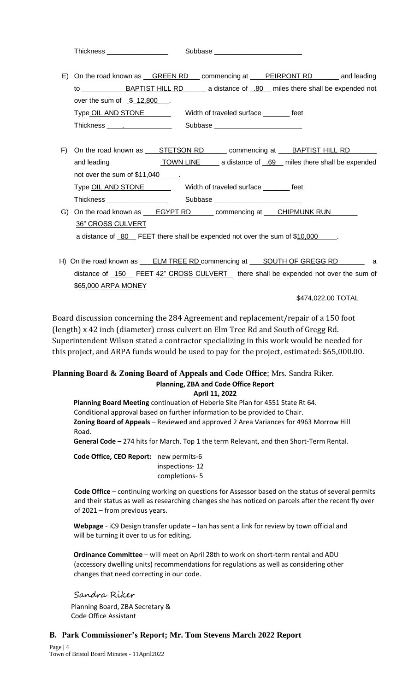| <b>Thickness</b> | Subbase |
|------------------|---------|
|------------------|---------|

|                                                                                                                                                                                                                                                   | E) On the road known as GREEN RD___ commencing at ____PEIRPONT RD_______ and leading |
|---------------------------------------------------------------------------------------------------------------------------------------------------------------------------------------------------------------------------------------------------|--------------------------------------------------------------------------------------|
| BAPTIST HILL RD<br>to to the state of the state of the state of the state of the state of the state of the state of the state of the state of the state of the state of the state of the state of the state of the state of the state of the stat | __ a distance of _.80_ miles there shall be expended not                             |
| over the sum of $$12,800$                                                                                                                                                                                                                         |                                                                                      |
| Type OIL AND STONE                                                                                                                                                                                                                                | Width of traveled surface<br>feet                                                    |
| Thickness<br>the company of the company of the                                                                                                                                                                                                    | Subbase                                                                              |

- F) On the road known as \_\_\_ STETSON RD\_\_\_\_\_\_\_ commencing at \_\_\_ BAPTIST HILL RD and leading TOWN LINE a distance of \_.69\_ miles there shall be expended not over the sum of \$11,040 Type OIL AND STONE Width of traveled surface \_\_\_\_\_\_\_ feet Thickness \_\_\_\_\_\_\_\_\_\_\_\_\_\_\_\_ Subbase \_\_\_\_\_\_\_\_\_\_\_\_\_\_\_\_\_\_\_\_\_\_\_
- G) On the road known as \_\_\_ EGYPT RD\_\_\_\_\_\_\_ commencing at \_\_\_ CHIPMUNK RUN\_ 36" CROSS CULVERT a distance of \_80\_\_ FEET there shall be expended not over the sum of \$10,000\_
- H) On the road known as \_\_\_ ELM TREE RD commencing at \_\_\_ SOUTH OF GREGG RD distance of \_150 FEET 42" CROSS CULVERT there shall be expended not over the sum of \$65,000 ARPA MONEY

\$474,022.00 TOTAL

Board discussion concerning the 284 Agreement and replacement/repair of a 150 foot (length) x 42 inch (diameter) cross culvert on Elm Tree Rd and South of Gregg Rd. Superintendent Wilson stated a contractor specializing in this work would be needed for this project, and ARPA funds would be used to pay for the project, estimated: \$65,000.00.

#### **Planning Board & Zoning Board of Appeals and Code Office**; Mrs. Sandra Riker. **Planning, ZBA and Code Office Report April 11, 2022**

**Planning Board Meeting** continuation of Heberle Site Plan for 4551 State Rt 64. Conditional approval based on further information to be provided to Chair. **Zoning Board of Appeals** – Reviewed and approved 2 Area Variances for 4963 Morrow Hill Road.

**General Code –** 274 hits for March. Top 1 the term Relevant, and then Short-Term Rental.

**Code Office, CEO Report:** new permits-6 inspections- 12 completions- 5

**Code Office** – continuing working on questions for Assessor based on the status of several permits and their status as well as researching changes she has noticed on parcels after the recent fly over of 2021 – from previous years.

**Webpage** - iC9 Design transfer update – Ian has sent a link for review by town official and will be turning it over to us for editing.

**Ordinance Committee** – will meet on April 28th to work on short-term rental and ADU (accessory dwelling units) recommendations for regulations as well as considering other changes that need correcting in our code.

Sandra Riker Planning Board, ZBA Secretary & Code Office Assistant

## **B. Park Commissioner's Report; Mr. Tom Stevens March 2022 Report**